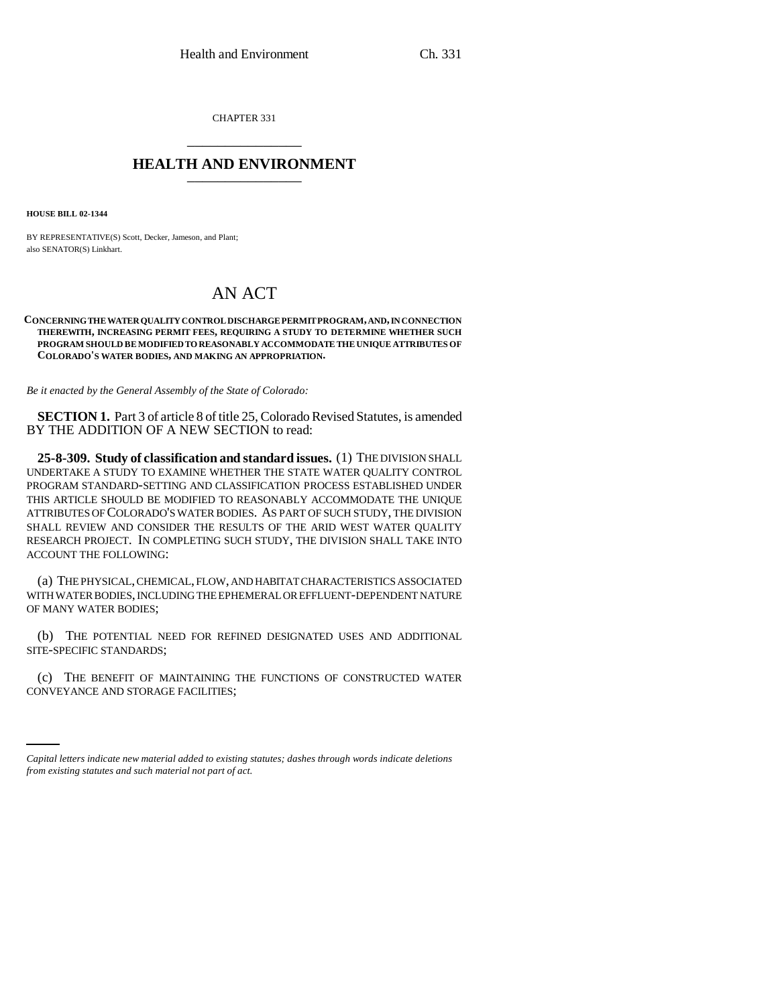CHAPTER 331 \_\_\_\_\_\_\_\_\_\_\_\_\_\_\_

# **HEALTH AND ENVIRONMENT** \_\_\_\_\_\_\_\_\_\_\_\_\_\_\_

**HOUSE BILL 02-1344**

BY REPRESENTATIVE(S) Scott, Decker, Jameson, and Plant; also SENATOR(S) Linkhart.

# AN ACT

#### **CONCERNING THE WATER QUALITY CONTROL DISCHARGE PERMIT PROGRAM, AND, IN CONNECTION THEREWITH, INCREASING PERMIT FEES, REQUIRING A STUDY TO DETERMINE WHETHER SUCH PROGRAM SHOULD BE MODIFIED TO REASONABLY ACCOMMODATE THE UNIQUE ATTRIBUTES OF COLORADO'S WATER BODIES, AND MAKING AN APPROPRIATION.**

*Be it enacted by the General Assembly of the State of Colorado:*

**SECTION 1.** Part 3 of article 8 of title 25, Colorado Revised Statutes, is amended BY THE ADDITION OF A NEW SECTION to read:

**25-8-309. Study of classification and standard issues.** (1) THE DIVISION SHALL UNDERTAKE A STUDY TO EXAMINE WHETHER THE STATE WATER QUALITY CONTROL PROGRAM STANDARD-SETTING AND CLASSIFICATION PROCESS ESTABLISHED UNDER THIS ARTICLE SHOULD BE MODIFIED TO REASONABLY ACCOMMODATE THE UNIQUE ATTRIBUTES OF COLORADO'S WATER BODIES. AS PART OF SUCH STUDY, THE DIVISION SHALL REVIEW AND CONSIDER THE RESULTS OF THE ARID WEST WATER QUALITY RESEARCH PROJECT. IN COMPLETING SUCH STUDY, THE DIVISION SHALL TAKE INTO ACCOUNT THE FOLLOWING:

(a) THE PHYSICAL, CHEMICAL, FLOW, AND HABITAT CHARACTERISTICS ASSOCIATED WITH WATER BODIES, INCLUDING THE EPHEMERAL OR EFFLUENT-DEPENDENT NATURE OF MANY WATER BODIES;

(b) THE POTENTIAL NEED FOR REFINED DESIGNATED USES AND ADDITIONAL SITE-SPECIFIC STANDARDS;

(c) THE BENEFIT OF MAINTAINING THE FUNCTIONS OF CONSTRUCTED WATER CONVEYANCE AND STORAGE FACILITIES;

*Capital letters indicate new material added to existing statutes; dashes through words indicate deletions from existing statutes and such material not part of act.*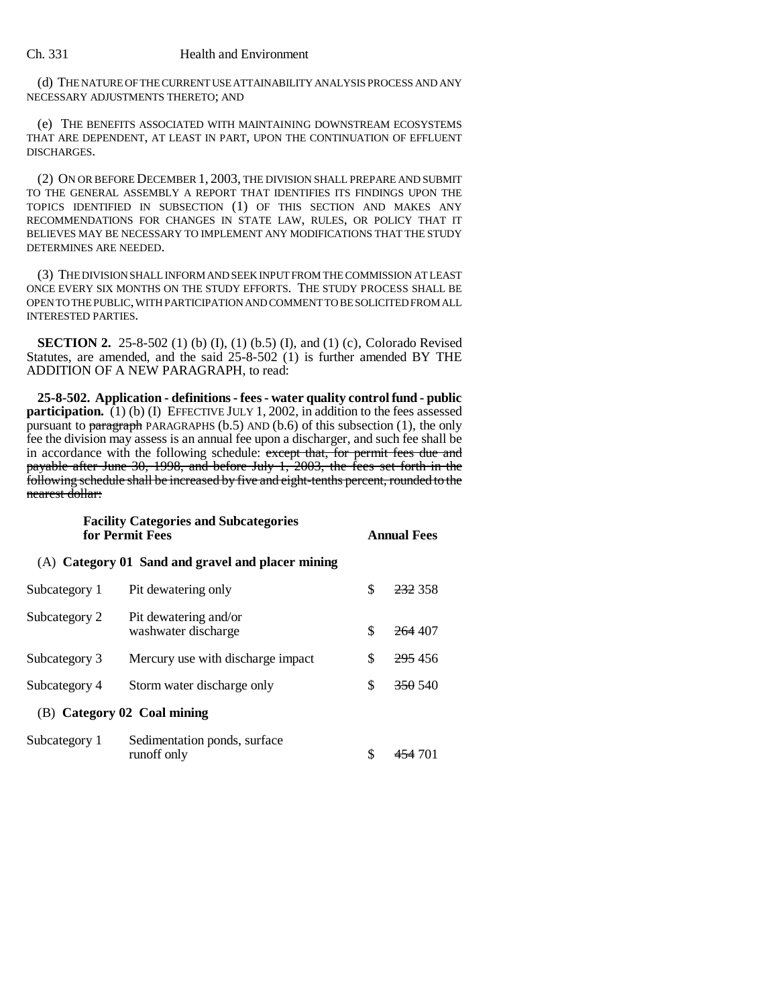#### Ch. 331 Health and Environment

(d) THE NATURE OF THE CURRENT USE ATTAINABILITY ANALYSIS PROCESS AND ANY NECESSARY ADJUSTMENTS THERETO; AND

(e) THE BENEFITS ASSOCIATED WITH MAINTAINING DOWNSTREAM ECOSYSTEMS THAT ARE DEPENDENT, AT LEAST IN PART, UPON THE CONTINUATION OF EFFLUENT DISCHARGES.

(2) ON OR BEFORE DECEMBER 1, 2003, THE DIVISION SHALL PREPARE AND SUBMIT TO THE GENERAL ASSEMBLY A REPORT THAT IDENTIFIES ITS FINDINGS UPON THE TOPICS IDENTIFIED IN SUBSECTION (1) OF THIS SECTION AND MAKES ANY RECOMMENDATIONS FOR CHANGES IN STATE LAW, RULES, OR POLICY THAT IT BELIEVES MAY BE NECESSARY TO IMPLEMENT ANY MODIFICATIONS THAT THE STUDY DETERMINES ARE NEEDED.

(3) THE DIVISION SHALL INFORM AND SEEK INPUT FROM THE COMMISSION AT LEAST ONCE EVERY SIX MONTHS ON THE STUDY EFFORTS. THE STUDY PROCESS SHALL BE OPEN TO THE PUBLIC, WITH PARTICIPATION AND COMMENT TO BE SOLICITED FROM ALL INTERESTED PARTIES.

**SECTION 2.** 25-8-502 (1) (b) (I), (1) (b.5) (I), and (1) (c), Colorado Revised Statutes, are amended, and the said 25-8-502 (1) is further amended BY THE ADDITION OF A NEW PARAGRAPH, to read:

**25-8-502. Application - definitions - fees - water quality control fund - public participation.** (1) (b) (I) EFFECTIVE JULY 1, 2002, in addition to the fees assessed pursuant to paragraph PARAGRAPHS ( $b.5$ ) AND ( $b.6$ ) of this subsection (1), the only fee the division may assess is an annual fee upon a discharger, and such fee shall be in accordance with the following schedule: except that, for permit fees due and payable after June 30, 1998, and before July 1, 2003, the fees set forth in the following schedule shall be increased by five and eight-tenths percent, rounded to the nearest dollar:

## **Facility Categories and Subcategories for Permit Fees Annual Fees**

(A) **Category 01 Sand and gravel and placer mining**

| Subcategory 1               | Pit dewatering only                          | \$ | <del>232</del> 358 |
|-----------------------------|----------------------------------------------|----|--------------------|
| Subcategory 2               | Pit dewatering and/or<br>washwater discharge | \$ | <del>264</del> 407 |
| Subcategory 3               | Mercury use with discharge impact.           | S  | 295 456            |
| Subcategory 4               | Storm water discharge only                   | S  | <del>350</del> 540 |
| (B) Category 02 Coal mining |                                              |    |                    |
| Subcategory 1               | Sedimentation ponds, surface<br>runoff only  |    | <del>454</del> 701 |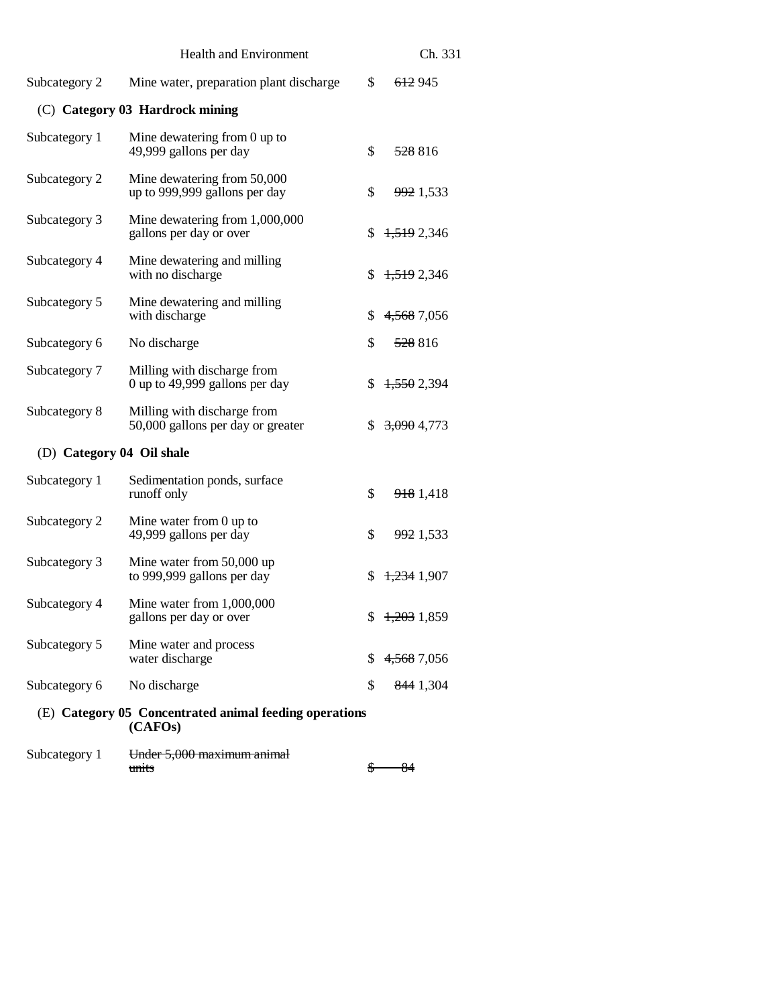|                                                                   | <b>Health and Environment</b>                                    |    | Ch. 331                |
|-------------------------------------------------------------------|------------------------------------------------------------------|----|------------------------|
| Subcategory 2                                                     | Mine water, preparation plant discharge                          | \$ | 612 945                |
|                                                                   | (C) Category 03 Hardrock mining                                  |    |                        |
| Subcategory 1                                                     | Mine dewatering from $0$ up to<br>49,999 gallons per day         | \$ | 528816                 |
| Subcategory 2                                                     | Mine dewatering from 50,000<br>up to 999,999 gallons per day     | \$ | 992 1,533              |
| Subcategory 3                                                     | Mine dewatering from 1,000,000<br>gallons per day or over        | \$ | 1,519 2,346            |
| Subcategory 4                                                     | Mine dewatering and milling<br>with no discharge                 | \$ | 1,519 2,346            |
| Subcategory 5                                                     | Mine dewatering and milling<br>with discharge                    | \$ | 4,568 7,056            |
| Subcategory 6                                                     | No discharge                                                     | \$ | 528816                 |
| Subcategory 7                                                     | Milling with discharge from<br>0 up to 49,999 gallons per day    | \$ | 1,550 2,394            |
| Subcategory 8                                                     | Milling with discharge from<br>50,000 gallons per day or greater | \$ | <del>3,090</del> 4,773 |
| (D) Category 04 Oil shale                                         |                                                                  |    |                        |
| Subcategory 1                                                     | Sedimentation ponds, surface<br>runoff only                      | \$ | 918 1,418              |
| Subcategory 2                                                     | Mine water from $0$ up to<br>49,999 gallons per day              | \$ | 992 1,533              |
| Subcategory 3                                                     | Mine water from 50,000 up<br>to 999,999 gallons per day          | \$ | 1,234 1,907            |
| Subcategory 4                                                     | Mine water from 1,000,000<br>gallons per day or over             | \$ | 1,203 1,859            |
| Subcategory 5                                                     | Mine water and process<br>water discharge                        | \$ | 4,568 7,056            |
| Subcategory 6                                                     | No discharge                                                     | \$ | 844 1,304              |
| (E) Category 05 Concentrated animal feeding operations<br>(CAFOs) |                                                                  |    |                        |
| Subcategory 1                                                     | <del>Under 5,000 maximum animal</del><br>units                   | S  | 84                     |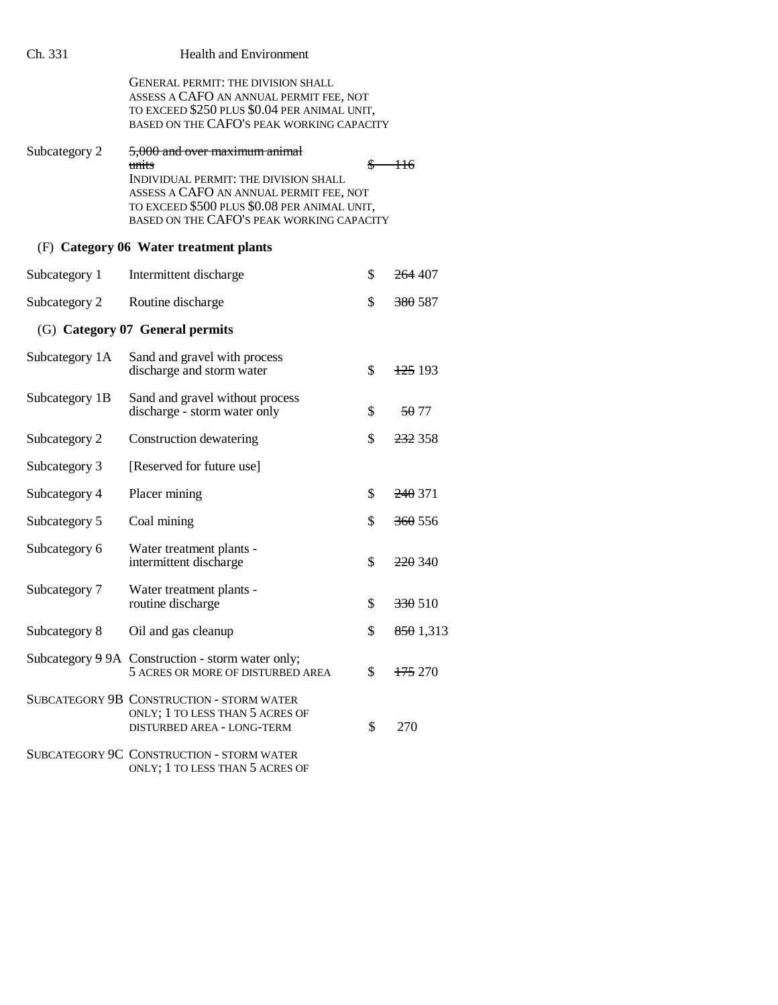| Ch. 331        | <b>Health and Environment</b>                                                                                                                                                                                           |    |                    |
|----------------|-------------------------------------------------------------------------------------------------------------------------------------------------------------------------------------------------------------------------|----|--------------------|
|                | GENERAL PERMIT: THE DIVISION SHALL<br>ASSESS A CAFO AN ANNUAL PERMIT FEE, NOT<br>TO EXCEED \$250 PLUS \$0.04 PER ANIMAL UNIT,<br>BASED ON THE CAFO'S PEAK WORKING CAPACITY                                              |    |                    |
| Subcategory 2  | 5,000 and over maximum animal<br>units<br>INDIVIDUAL PERMIT: THE DIVISION SHALL<br>ASSESS A CAFO AN ANNUAL PERMIT FEE, NOT<br>TO EXCEED \$500 PLUS \$0.08 PER ANIMAL UNIT,<br>BASED ON THE CAFO'S PEAK WORKING CAPACITY | S  | 116                |
|                | (F) Category 06 Water treatment plants                                                                                                                                                                                  |    |                    |
| Subcategory 1  | Intermittent discharge                                                                                                                                                                                                  | \$ | <del>264</del> 407 |
| Subcategory 2  | Routine discharge                                                                                                                                                                                                       | \$ | <del>380</del> 587 |
|                | (G) Category 07 General permits                                                                                                                                                                                         |    |                    |
| Subcategory 1A | Sand and gravel with process<br>discharge and storm water                                                                                                                                                               | \$ | <del>125</del> 193 |
| Subcategory 1B | Sand and gravel without process<br>discharge - storm water only                                                                                                                                                         | \$ | 50 77              |
| Subcategory 2  | Construction dewatering                                                                                                                                                                                                 | \$ | 232 358            |
| Subcategory 3  | [Reserved for future use]                                                                                                                                                                                               |    |                    |
| Subcategory 4  | Placer mining                                                                                                                                                                                                           | \$ | <del>240</del> 371 |
| Subcategory 5  | Coal mining                                                                                                                                                                                                             | \$ | <del>360</del> 556 |
| Subcategory 6  | Water treatment plants -<br>intermittent discharge                                                                                                                                                                      | \$ | <del>220</del> 340 |
| Subcategory 7  | Water treatment plants -<br>routine discharge                                                                                                                                                                           | \$ | 330 510            |
| Subcategory 8  | Oil and gas cleanup                                                                                                                                                                                                     | \$ | 8501,313           |
|                | Subcategory 9 9A Construction - storm water only;<br>5 ACRES OR MORE OF DISTURBED AREA                                                                                                                                  | \$ | <del>175</del> 270 |
|                | SUBCATEGORY 9B CONSTRUCTION - STORM WATER<br>ONLY; 1 TO LESS THAN 5 ACRES OF<br><b>DISTURBED AREA - LONG-TERM</b>                                                                                                       | \$ | 270                |
|                | <b>SUBCATEGORY 9C CONSTRUCTION - STORM WATER</b><br>ONLY; 1 TO LESS THAN 5 ACRES OF                                                                                                                                     |    |                    |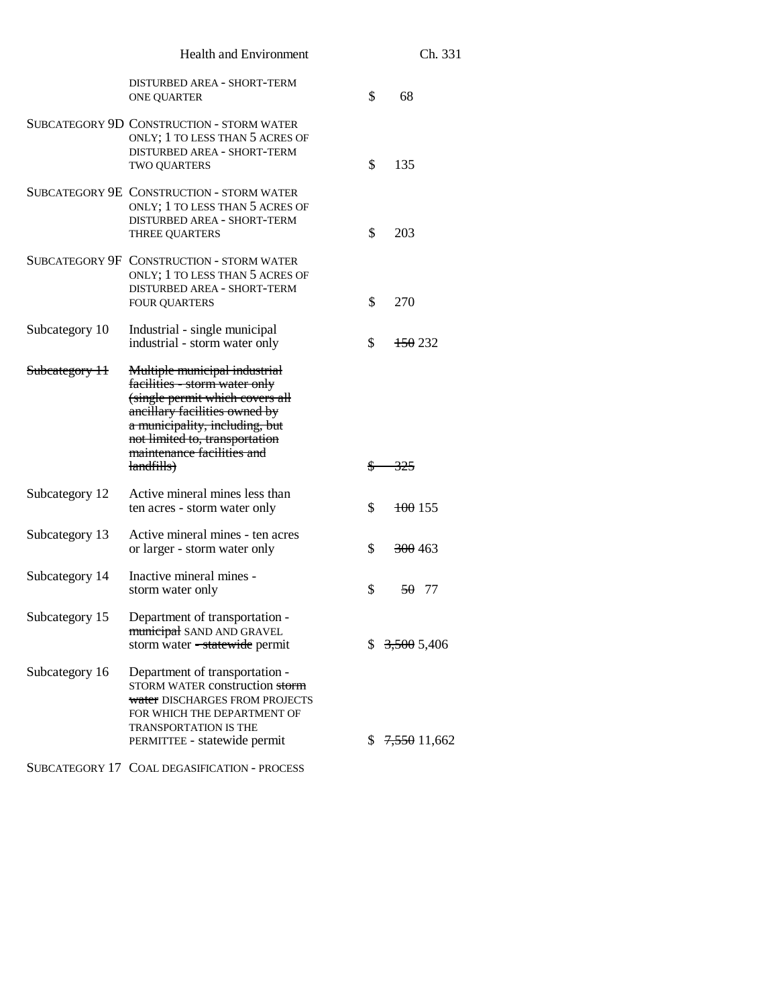|                | <b>Health and Environment</b>                                                                                                                                                                                                                      |    | Ch. 331            |
|----------------|----------------------------------------------------------------------------------------------------------------------------------------------------------------------------------------------------------------------------------------------------|----|--------------------|
|                | DISTURBED AREA - SHORT-TERM<br><b>ONE QUARTER</b>                                                                                                                                                                                                  | \$ | 68                 |
|                | SUBCATEGORY 9D CONSTRUCTION - STORM WATER<br>ONLY; 1 TO LESS THAN 5 ACRES OF<br>DISTURBED AREA - SHORT-TERM<br>TWO QUARTERS                                                                                                                        | \$ | 135                |
|                | SUBCATEGORY 9E CONSTRUCTION - STORM WATER<br>ONLY; 1 TO LESS THAN 5 ACRES OF<br>DISTURBED AREA - SHORT-TERM<br><b>THREE QUARTERS</b>                                                                                                               | \$ | 203                |
|                | SUBCATEGORY 9F CONSTRUCTION - STORM WATER<br>ONLY; 1 TO LESS THAN 5 ACRES OF<br>DISTURBED AREA - SHORT-TERM<br><b>FOUR QUARTERS</b>                                                                                                                | \$ | 270                |
| Subcategory 10 | Industrial - single municipal<br>industrial - storm water only                                                                                                                                                                                     | \$ | <del>150</del> 232 |
| Subcategory 11 | Multiple municipal industrial<br>facilities - storm water only<br>(single permit which covers all<br>ancillary facilities owned by<br>a municipality, including, but<br>not limited to, transportation<br>maintenance facilities and<br>landfills) | S  | 325                |
| Subcategory 12 | Active mineral mines less than<br>ten acres - storm water only                                                                                                                                                                                     | \$ | $\frac{100}{155}$  |
| Subcategory 13 | Active mineral mines - ten acres<br>or larger - storm water only                                                                                                                                                                                   | \$ | <del>300</del> 463 |
| Subcategory 14 | Inactive mineral mines -<br>storm water only                                                                                                                                                                                                       | \$ | 50, 77             |
| Subcategory 15 | Department of transportation -<br>municipal SAND AND GRAVEL<br>storm water - statewide permit                                                                                                                                                      |    | \$3,5005,406       |
| Subcategory 16 | Department of transportation -<br>STORM WATER construction storm<br>water DISCHARGES FROM PROJECTS<br>FOR WHICH THE DEPARTMENT OF<br><b>TRANSPORTATION IS THE</b><br>PERMITTEE - statewide permit                                                  | S. | 7,550 11,662       |
|                | SUBCATEGORY 17 COAL DEGASIFICATION - PROCESS                                                                                                                                                                                                       |    |                    |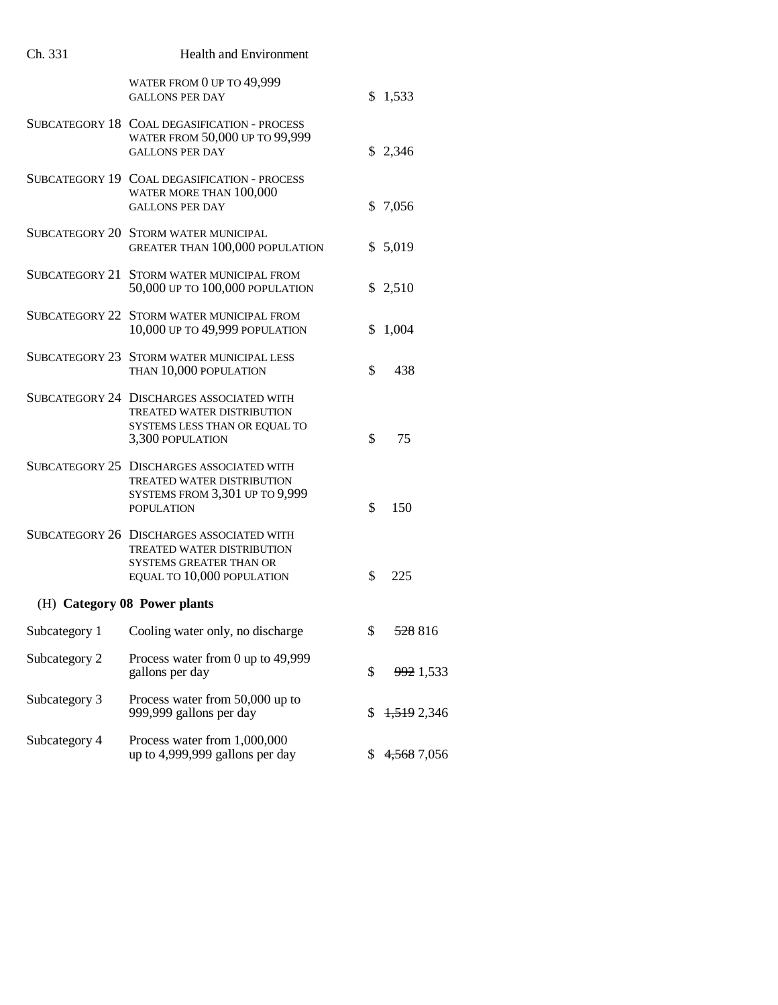| Ch. 331       | Health and Environment                                                                                                                  |    |             |
|---------------|-----------------------------------------------------------------------------------------------------------------------------------------|----|-------------|
|               | WATER FROM 0 UP TO 49,999<br><b>GALLONS PER DAY</b>                                                                                     |    | \$1,533     |
|               | SUBCATEGORY 18 COAL DEGASIFICATION - PROCESS<br>WATER FROM 50,000 UP TO 99,999<br><b>GALLONS PER DAY</b>                                |    | \$2,346     |
|               | SUBCATEGORY 19 COAL DEGASIFICATION - PROCESS<br>WATER MORE THAN 100,000<br><b>GALLONS PER DAY</b>                                       |    | \$7,056     |
|               | SUBCATEGORY 20 STORM WATER MUNICIPAL<br><b>GREATER THAN 100,000 POPULATION</b>                                                          |    | \$5,019     |
|               | SUBCATEGORY 21 STORM WATER MUNICIPAL FROM<br>50,000 UP TO 100,000 POPULATION                                                            |    | \$2,510     |
|               | SUBCATEGORY 22 STORM WATER MUNICIPAL FROM<br>10,000 UP TO 49,999 POPULATION                                                             | \$ | 1,004       |
|               | SUBCATEGORY 23 STORM WATER MUNICIPAL LESS<br>THAN 10,000 POPULATION                                                                     | \$ | 438         |
|               | SUBCATEGORY 24 DISCHARGES ASSOCIATED WITH<br><b>TREATED WATER DISTRIBUTION</b><br>SYSTEMS LESS THAN OR EQUAL TO<br>3,300 POPULATION     | \$ | 75          |
|               | SUBCATEGORY 25 DISCHARGES ASSOCIATED WITH<br>TREATED WATER DISTRIBUTION<br>SYSTEMS FROM 3,301 UP TO 9,999<br><b>POPULATION</b>          | \$ | 150         |
|               | SUBCATEGORY 26 DISCHARGES ASSOCIATED WITH<br>TREATED WATER DISTRIBUTION<br><b>SYSTEMS GREATER THAN OR</b><br>EQUAL TO 10,000 POPULATION | \$ | 225         |
|               | (H) Category 08 Power plants                                                                                                            |    |             |
| Subcategory 1 | Cooling water only, no discharge                                                                                                        | \$ | 528 816     |
| Subcategory 2 | Process water from 0 up to 49,999<br>gallons per day                                                                                    | \$ | 992 1,533   |
| Subcategory 3 | Process water from 50,000 up to<br>999,999 gallons per day                                                                              | \$ | 1,519 2,346 |
| Subcategory 4 | Process water from 1,000,000<br>up to 4,999,999 gallons per day                                                                         | S. | 4,568 7,056 |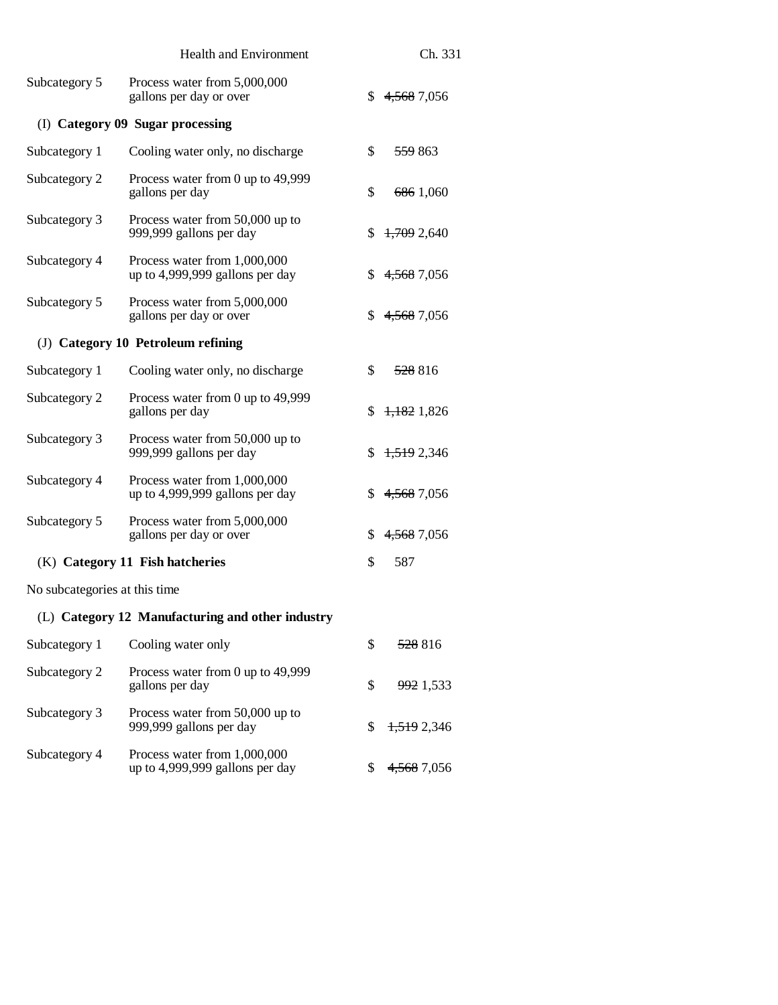|                                                                 |                               | Ch. 331            |
|-----------------------------------------------------------------|-------------------------------|--------------------|
| Process water from 5,000,000<br>gallons per day or over         | S.                            | 4,568 7,056        |
| (I) Category 09 Sugar processing                                |                               |                    |
| Cooling water only, no discharge                                | \$                            | <del>559</del> 863 |
| Process water from 0 up to 49,999<br>gallons per day            | \$                            | 686 1,060          |
| Process water from 50,000 up to<br>999,999 gallons per day      | S.                            | 1,709 2,640        |
| Process water from 1,000,000<br>up to 4,999,999 gallons per day | \$                            | 4,568 7,056        |
| Process water from 5,000,000<br>gallons per day or over         | \$                            | 4,568 7,056        |
| (J) Category 10 Petroleum refining                              |                               |                    |
| Cooling water only, no discharge                                | \$                            | <del>528</del> 816 |
| Process water from 0 up to 49,999<br>gallons per day            | S                             | $+1.1821.826$      |
| Process water from 50,000 up to<br>999,999 gallons per day      | \$                            | 1,519 2,346        |
| Process water from 1,000,000<br>up to 4,999,999 gallons per day | \$                            | 4,568 7,056        |
| Process water from 5,000,000<br>gallons per day or over         | \$                            | 4,568 7,056        |
| (K) Category 11 Fish hatcheries                                 | \$                            | 587                |
| No subcategories at this time                                   |                               |                    |
| (L) Category 12 Manufacturing and other industry                |                               |                    |
| Cooling water only                                              | \$                            | 528816             |
| Process water from 0 up to 49,999<br>gallons per day            | \$                            | 992 1,533          |
|                                                                 | <b>Health and Environment</b> |                    |

999,999 gallons per day  $$ 1,5192,346$ 

up to 4,999,999 gallons per day  $$ 4,568$  7,056

Subcategory 3 Process water from 50,000 up to

Subcategory 4 Process water from 1,000,000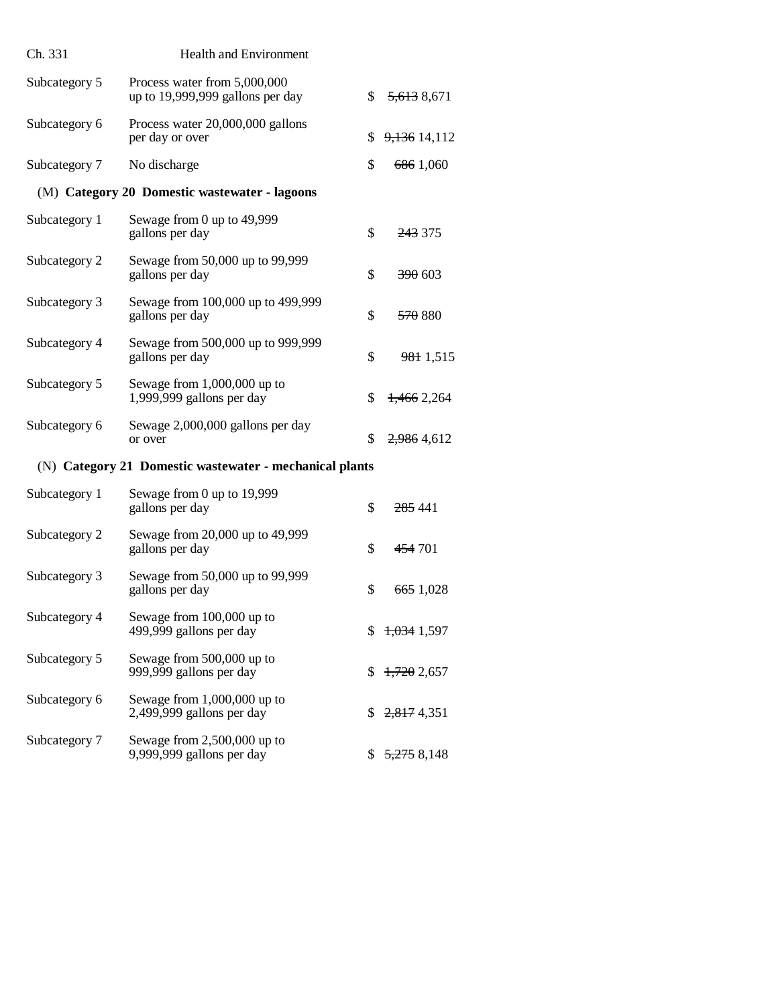| Ch. 331                                                 | <b>Health and Environment</b>                                    |    |                        |  |
|---------------------------------------------------------|------------------------------------------------------------------|----|------------------------|--|
| Subcategory 5                                           | Process water from 5,000,000<br>up to 19,999,999 gallons per day | \$ | 5,613 8,671            |  |
| Subcategory 6                                           | Process water 20,000,000 gallons<br>per day or over              | \$ | 9,136 14,112           |  |
| Subcategory 7                                           | No discharge                                                     | \$ | 686 1,060              |  |
|                                                         | (M) Category 20 Domestic wastewater - lagoons                    |    |                        |  |
| Subcategory 1                                           | Sewage from 0 up to 49,999<br>gallons per day                    | \$ | 243 375                |  |
| Subcategory 2                                           | Sewage from 50,000 up to 99,999<br>gallons per day               | \$ | <del>390</del> 603     |  |
| Subcategory 3                                           | Sewage from 100,000 up to 499,999<br>gallons per day             | \$ | <del>570</del> 880     |  |
| Subcategory 4                                           | Sewage from 500,000 up to 999,999<br>gallons per day             | \$ | 981 1,515              |  |
| Subcategory 5                                           | Sewage from $1,000,000$ up to<br>1,999,999 gallons per day       | \$ | 1,466 2,264            |  |
| Subcategory 6                                           | Sewage 2,000,000 gallons per day<br>or over                      | \$ | 2,986 4,612            |  |
| (N) Category 21 Domestic wastewater - mechanical plants |                                                                  |    |                        |  |
| Subcategory 1                                           | Sewage from 0 up to 19,999<br>gallons per day                    | \$ | 285 441                |  |
| Subcategory 2                                           | Sewage from 20,000 up to 49,999<br>gallons per day               | \$ | 454 701                |  |
| Subcategory 3                                           | Sewage from 50,000 up to 99,999<br>gallons per day               | \$ | 665 1,028              |  |
| Subcategory 4                                           | Sewage from 100,000 up to<br>499,999 gallons per day             | \$ | <del>1,034</del> 1,597 |  |
| Subcategory 5                                           | Sewage from 500,000 up to<br>999,999 gallons per day             | \$ | 1,7202,657             |  |
| Subcategory 6                                           | Sewage from 1,000,000 up to<br>2,499,999 gallons per day         | \$ | 2,817 4,351            |  |
| Subcategory 7                                           | Sewage from $2,500,000$ up to<br>9,999,999 gallons per day       | S  | <del>5,275</del> 8,148 |  |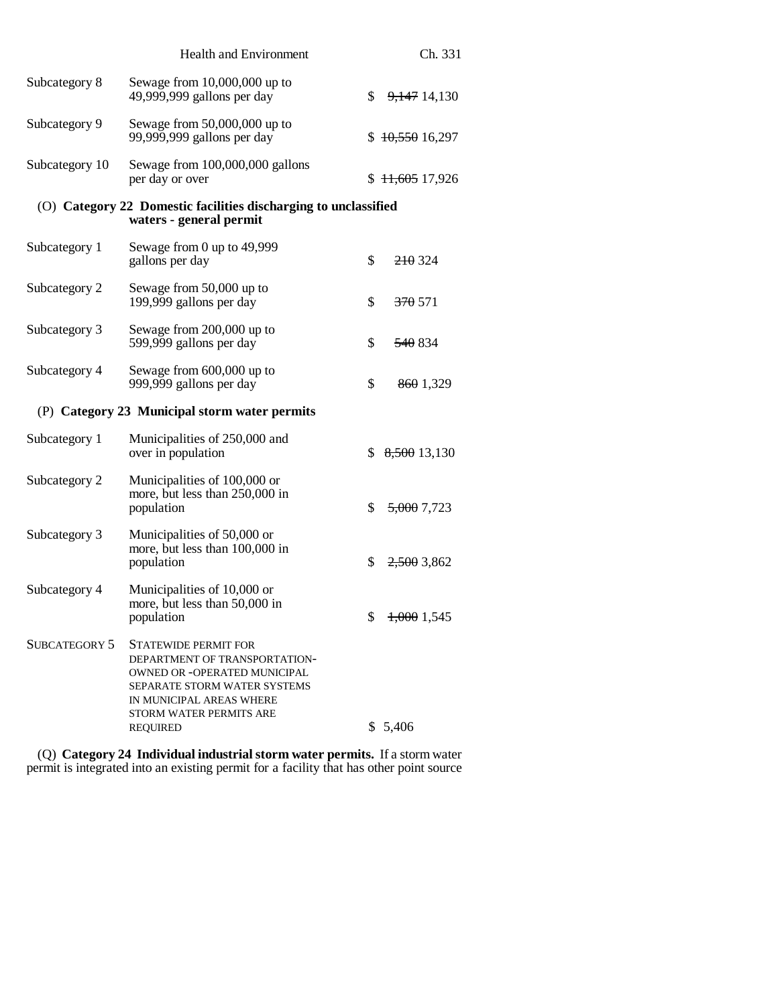| <b>Health and Environment</b>                                                                                                                                                                                 |    | Ch. 331                                                         |  |
|---------------------------------------------------------------------------------------------------------------------------------------------------------------------------------------------------------------|----|-----------------------------------------------------------------|--|
| Sewage from $10,000,000$ up to<br>49,999,999 gallons per day                                                                                                                                                  | \$ | 9,147 14,130                                                    |  |
| Sewage from $50,000,000$ up to<br>99,999,999 gallons per day                                                                                                                                                  |    | \$10,55016,297                                                  |  |
| Sewage from 100,000,000 gallons<br>per day or over                                                                                                                                                            |    | \$11,60517,926                                                  |  |
| waters - general permit                                                                                                                                                                                       |    |                                                                 |  |
| Sewage from 0 up to 49,999<br>gallons per day                                                                                                                                                                 | \$ | 210324                                                          |  |
| Sewage from 50,000 up to<br>199,999 gallons per day                                                                                                                                                           | \$ | 370 571                                                         |  |
| Sewage from 200,000 up to<br>599,999 gallons per day                                                                                                                                                          | \$ | 540 834                                                         |  |
| Sewage from 600,000 up to<br>999,999 gallons per day                                                                                                                                                          | \$ | 8601,329                                                        |  |
| (P) Category 23 Municipal storm water permits                                                                                                                                                                 |    |                                                                 |  |
| Municipalities of 250,000 and<br>over in population                                                                                                                                                           | S  | 8,500 13,130                                                    |  |
| Municipalities of 100,000 or<br>more, but less than 250,000 in<br>population                                                                                                                                  | \$ | 5,000 7,723                                                     |  |
| Municipalities of 50,000 or<br>more, but less than 100,000 in<br>population                                                                                                                                   | \$ | $2,500$ 3,862                                                   |  |
| Municipalities of 10,000 or<br>more, but less than 50,000 in<br>population                                                                                                                                    |    | \$1,0001,545                                                    |  |
| <b>STATEWIDE PERMIT FOR</b><br>DEPARTMENT OF TRANSPORTATION-<br><b>OWNED OR -OPERATED MUNICIPAL</b><br>SEPARATE STORM WATER SYSTEMS<br>IN MUNICIPAL AREAS WHERE<br>STORM WATER PERMITS ARE<br><b>REQUIRED</b> |    | \$5,406                                                         |  |
|                                                                                                                                                                                                               |    | (O) Category 22 Domestic facilities discharging to unclassified |  |

(Q) **Category 24 Individual industrial storm water permits.** If a storm water permit is integrated into an existing permit for a facility that has other point source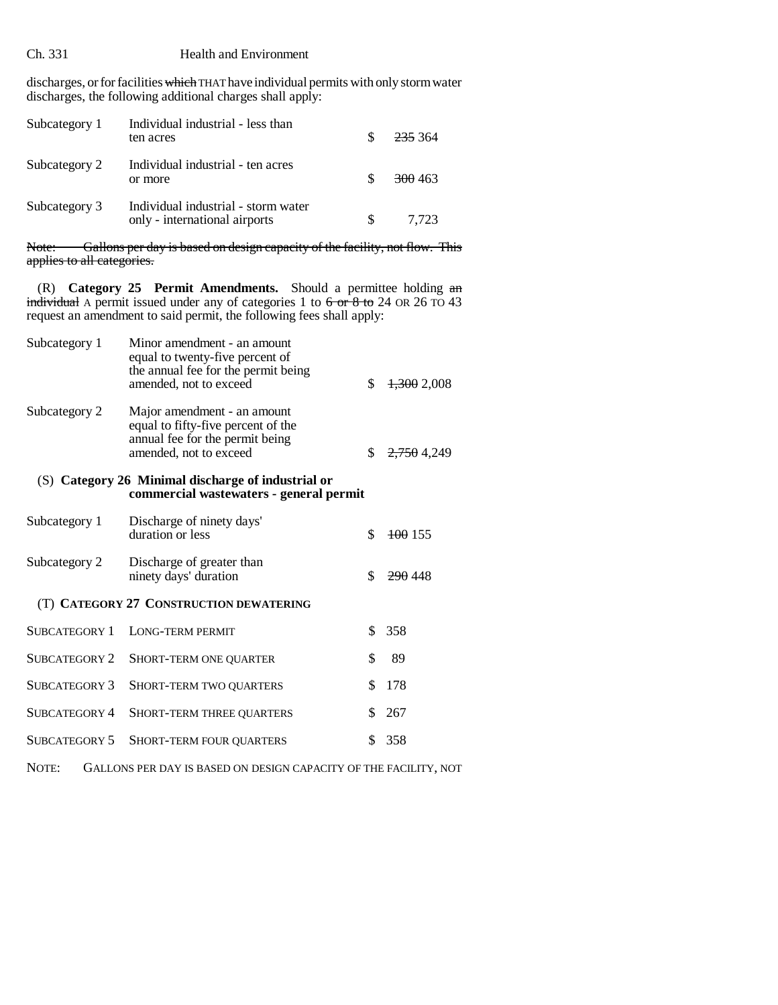# Ch. 331 Health and Environment

discharges, or for facilities which THAT have individual permits with only storm water discharges, the following additional charges shall apply:

| Subcategory 1 | Individual industrial - less than<br>ten acres                       |    | <del>235</del> 364 |
|---------------|----------------------------------------------------------------------|----|--------------------|
| Subcategory 2 | Individual industrial - ten acres<br>or more                         |    | 300 463            |
| Subcategory 3 | Individual industrial - storm water<br>only - international airports | S. | 7.723              |

Note: Gallons per day is based on design capacity of the facility, not flow. This applies to all categories.

(R) **Category 25 Permit Amendments.** Should a permittee holding an individual A permit issued under any of categories 1 to  $6 \text{ or } 8 \text{ to } 24$  OR 26 TO 43 request an amendment to said permit, the following fees shall apply:

| Subcategory 1 | Minor amendment - an amount<br>equal to twenty-five percent of<br>the annual fee for the permit being<br>amended, not to exceed | 1,3002,008  |
|---------------|---------------------------------------------------------------------------------------------------------------------------------|-------------|
| Subcategory 2 | Major amendment - an amount<br>equal to fifty-five percent of the<br>annual fee for the permit being<br>amended, not to exceed  | 2,750 4,249 |

# (S) **Category 26 Minimal discharge of industrial or commercial wastewaters - general permit**

| Subcategory 1 | Discharge of ninety days'<br>duration or less      | $\frac{100}{155}$ |
|---------------|----------------------------------------------------|-------------------|
| Subcategory 2 | Discharge of greater than<br>ninety days' duration | 290448            |
|               | (T) CATEGORY 27 CONSTRUCTION DEWATERING            |                   |
|               | SUBCATEGORY 1 LONG-TERM PERMIT                     | 358               |
|               | SUBCATEGORY 2 SHORT-TERM ONE QUARTER               | 89                |
|               | SUBCATEGORY 3 SHORT-TERM TWO QUARTERS              | 78                |

| SUBCATEGORY 3 SHORI-TERM I WO OUARTERS  | J1/0   |
|-----------------------------------------|--------|
| SUBCATEGORY 4 SHORT-TERM THREE OUARTERS | \$ 267 |
| SUBCATEGORY 5 SHORT-TERM FOUR OUARTERS  | \$ 358 |

NOTE: GALLONS PER DAY IS BASED ON DESIGN CAPACITY OF THE FACILITY, NOT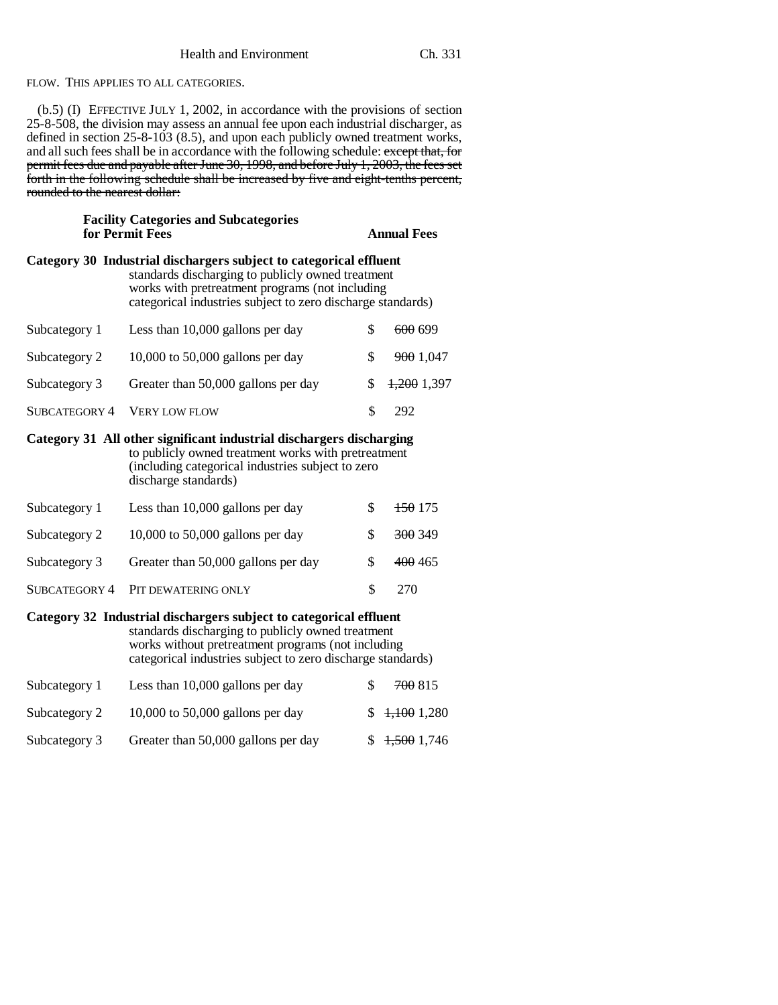FLOW. THIS APPLIES TO ALL CATEGORIES.

(b.5) (I) EFFECTIVE JULY 1, 2002, in accordance with the provisions of section 25-8-508, the division may assess an annual fee upon each industrial discharger, as defined in section 25-8-103 (8.5), and upon each publicly owned treatment works, and all such fees shall be in accordance with the following schedule: except that, for permit fees due and payable after June 30, 1998, and before July 1, 2003, the fees set forth in the following schedule shall be increased by five and eight-tenths percent, rounded to the nearest dollar:

| <b>Facility Categories and Subcategories</b><br>for Permit Fees                                                                                                                                                                              |                                     |    | <b>Annual Fees</b> |  |
|----------------------------------------------------------------------------------------------------------------------------------------------------------------------------------------------------------------------------------------------|-------------------------------------|----|--------------------|--|
| Category 30 Industrial dischargers subject to categorical effluent<br>standards discharging to publicly owned treatment<br>works with pretreatment programs (not including<br>categorical industries subject to zero discharge standards)    |                                     |    |                    |  |
| Subcategory 1                                                                                                                                                                                                                                | Less than 10,000 gallons per day    | \$ | 600 699            |  |
| Subcategory 2                                                                                                                                                                                                                                | 10,000 to 50,000 gallons per day    | \$ | 900 1,047          |  |
| Subcategory 3                                                                                                                                                                                                                                | Greater than 50,000 gallons per day | \$ | $1,200$ 1,397      |  |
| SUBCATEGORY 4                                                                                                                                                                                                                                | <b>VERY LOW FLOW</b>                | \$ | 292                |  |
| Category 31 All other significant industrial dischargers discharging<br>to publicly owned treatment works with pretreatment<br>(including categorical industries subject to zero<br>discharge standards)                                     |                                     |    |                    |  |
| Subcategory 1                                                                                                                                                                                                                                | Less than 10,000 gallons per day    | \$ | <del>150</del> 175 |  |
| Subcategory 2                                                                                                                                                                                                                                | $10,000$ to 50,000 gallons per day  | \$ | 300 349            |  |
| Subcategory 3                                                                                                                                                                                                                                | Greater than 50,000 gallons per day | \$ | 400 465            |  |
| <b>SUBCATEGORY 4</b>                                                                                                                                                                                                                         | PIT DEWATERING ONLY                 | \$ | 270                |  |
| Category 32 Industrial dischargers subject to categorical effluent<br>standards discharging to publicly owned treatment<br>works without pretreatment programs (not including<br>categorical industries subject to zero discharge standards) |                                     |    |                    |  |
| Subcategory 1                                                                                                                                                                                                                                | Less than 10,000 gallons per day    | \$ | 700 815            |  |
| Subcategory 2                                                                                                                                                                                                                                | $10,000$ to 50,000 gallons per day  | \$ | $+1001,280$        |  |
| Subcategory 3                                                                                                                                                                                                                                | Greater than 50,000 gallons per day | \$ | 1,500 1,746        |  |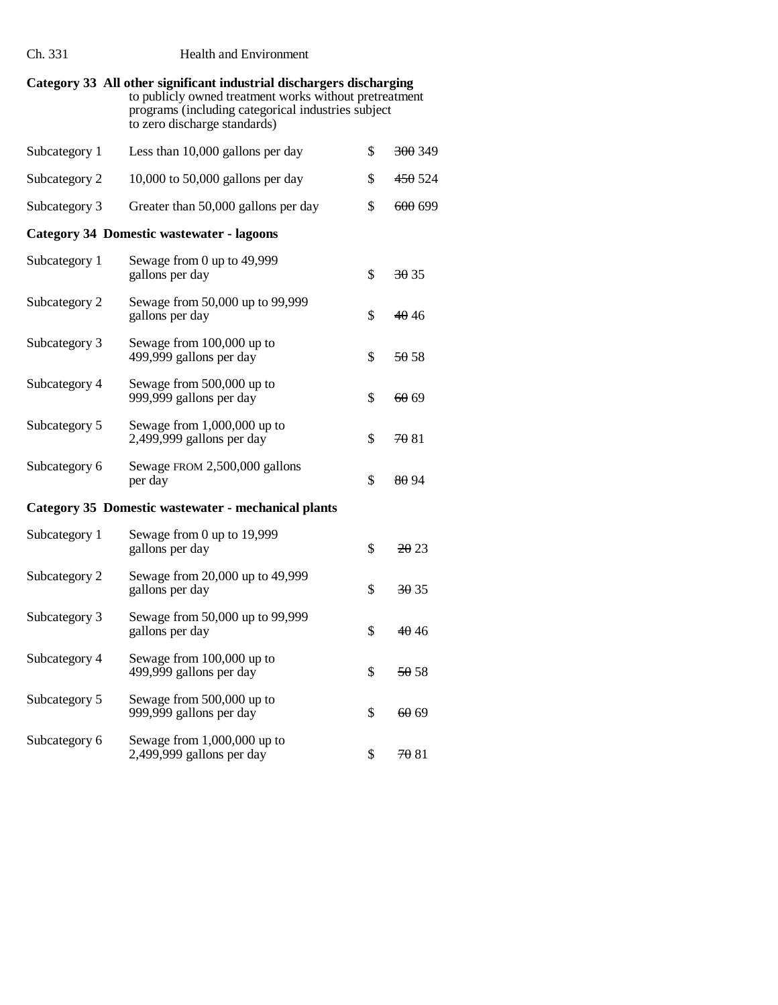| Ch. 331                                             | <b>Health and Environment</b>                                                                                                                                                                                        |    |                    |  |
|-----------------------------------------------------|----------------------------------------------------------------------------------------------------------------------------------------------------------------------------------------------------------------------|----|--------------------|--|
|                                                     | Category 33 All other significant industrial dischargers discharging<br>to publicly owned treatment works without pretreatment<br>programs (including categorical industries subject<br>to zero discharge standards) |    |                    |  |
| Subcategory 1                                       | Less than 10,000 gallons per day                                                                                                                                                                                     | \$ | 300 349            |  |
| Subcategory 2                                       | $10,000$ to 50,000 gallons per day                                                                                                                                                                                   | \$ | 450 524            |  |
| Subcategory 3                                       | Greater than 50,000 gallons per day                                                                                                                                                                                  | \$ | <del>600</del> 699 |  |
|                                                     | <b>Category 34 Domestic wastewater - lagoons</b>                                                                                                                                                                     |    |                    |  |
| Subcategory 1                                       | Sewage from 0 up to 49,999<br>gallons per day                                                                                                                                                                        | \$ | 3035               |  |
| Subcategory 2                                       | Sewage from 50,000 up to 99,999<br>gallons per day                                                                                                                                                                   | \$ | 4046               |  |
| Subcategory 3                                       | Sewage from 100,000 up to<br>499,999 gallons per day                                                                                                                                                                 | \$ | 50.58              |  |
| Subcategory 4                                       | Sewage from 500,000 up to<br>999,999 gallons per day                                                                                                                                                                 | \$ | 60 69              |  |
| Subcategory 5                                       | Sewage from $1,000,000$ up to<br>2,499,999 gallons per day                                                                                                                                                           | \$ | 70 81              |  |
| Subcategory 6                                       | Sewage FROM 2,500,000 gallons<br>per day                                                                                                                                                                             | \$ | 80 94              |  |
| Category 35 Domestic wastewater - mechanical plants |                                                                                                                                                                                                                      |    |                    |  |
| Subcategory 1                                       | Sewage from 0 up to 19,999<br>gallons per day                                                                                                                                                                        | \$ | <del>20</del> 23   |  |
| Subcategory 2                                       | Sewage from 20,000 up to 49,999<br>gallons per day                                                                                                                                                                   | \$ | 3035               |  |
| Subcategory 3                                       | Sewage from 50,000 up to 99,999<br>gallons per day                                                                                                                                                                   | \$ | <del>40</del> 46   |  |
| Subcategory 4                                       | Sewage from 100,000 up to<br>499,999 gallons per day                                                                                                                                                                 | \$ | <del>50</del> 58   |  |
| Subcategory 5                                       | Sewage from 500,000 up to<br>999,999 gallons per day                                                                                                                                                                 | \$ | 60 69              |  |
| Subcategory 6                                       | Sewage from 1,000,000 up to<br>2,499,999 gallons per day                                                                                                                                                             | \$ | 7081               |  |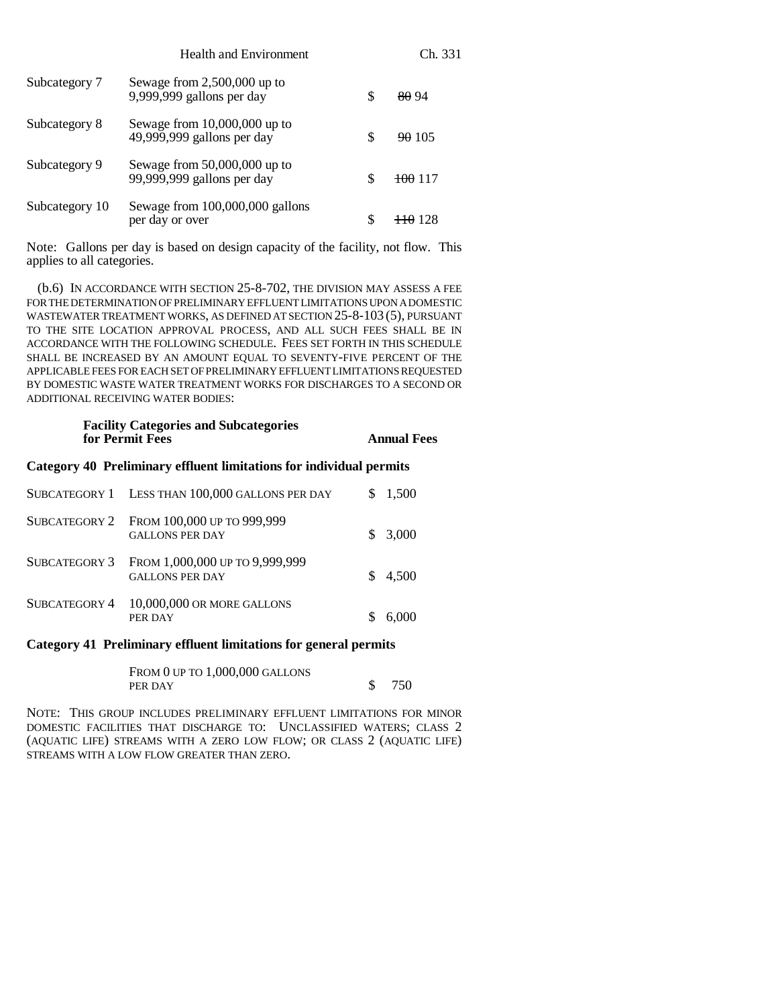|                | <b>Health and Environment</b>                                |    | Ch. 331            |
|----------------|--------------------------------------------------------------|----|--------------------|
| Subcategory 7  | Sewage from $2,500,000$ up to<br>9,999,999 gallons per day   | \$ | 80 94              |
| Subcategory 8  | Sewage from $10,000,000$ up to<br>49,999,999 gallons per day | S  | 90105              |
| Subcategory 9  | Sewage from $50,000,000$ up to<br>99,999,999 gallons per day | S  | <del>100</del> 117 |
| Subcategory 10 | Sewage from 100,000,000 gallons<br>per day or over           | S  | <del>110</del> 128 |

Note: Gallons per day is based on design capacity of the facility, not flow. This applies to all categories.

(b.6) IN ACCORDANCE WITH SECTION 25-8-702, THE DIVISION MAY ASSESS A FEE FOR THE DETERMINATION OF PRELIMINARY EFFLUENT LIMITATIONS UPON A DOMESTIC WASTEWATER TREATMENT WORKS, AS DEFINED AT SECTION 25-8-103 (5), PURSUANT TO THE SITE LOCATION APPROVAL PROCESS, AND ALL SUCH FEES SHALL BE IN ACCORDANCE WITH THE FOLLOWING SCHEDULE. FEES SET FORTH IN THIS SCHEDULE SHALL BE INCREASED BY AN AMOUNT EQUAL TO SEVENTY-FIVE PERCENT OF THE APPLICABLE FEES FOR EACH SET OF PRELIMINARY EFFLUENT LIMITATIONS REQUESTED BY DOMESTIC WASTE WATER TREATMENT WORKS FOR DISCHARGES TO A SECOND OR ADDITIONAL RECEIVING WATER BODIES:

## **Facility Categories and Subcategories for Permit Fees Annual Fees**

#### **Category 40 Preliminary effluent limitations for individual permits**

| SUBCATEGORY 1 LESS THAN 100,000 GALLONS PER DAY                        | \$1,500 |
|------------------------------------------------------------------------|---------|
| SUBCATEGORY 2 FROM 100,000 UP TO 999,999<br><b>GALLONS PER DAY</b>     | \$3,000 |
| SUBCATEGORY 3 FROM 1,000,000 UP TO 9,999,999<br><b>GALLONS PER DAY</b> | 4.500   |
| SUBCATEGORY 4 10,000,000 OR MORE GALLONS<br>PER DAY                    | 6,000   |

## **Category 41 Preliminary effluent limitations for general permits**

| FROM 0 UP TO $1,000,000$ GALLONS |       |
|----------------------------------|-------|
| PER DAY                          | \$750 |

NOTE: THIS GROUP INCLUDES PRELIMINARY EFFLUENT LIMITATIONS FOR MINOR DOMESTIC FACILITIES THAT DISCHARGE TO: UNCLASSIFIED WATERS; CLASS 2 (AQUATIC LIFE) STREAMS WITH A ZERO LOW FLOW; OR CLASS 2 (AQUATIC LIFE) STREAMS WITH A LOW FLOW GREATER THAN ZERO.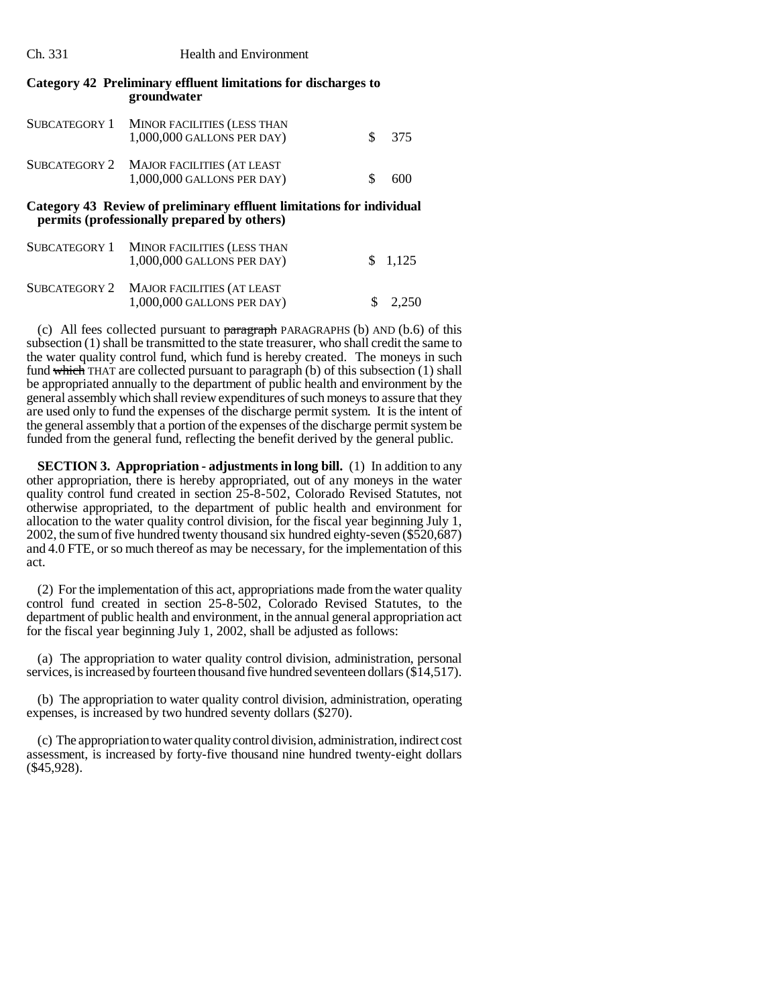#### Ch. 331 Health and Environment

#### **Category 42 Preliminary effluent limitations for discharges to groundwater**

| SUBCATEGORY 1 MINOR FACILITIES (LESS THAN<br>$1,000,000$ GALLONS PER DAY) |     | \$ 375 |
|---------------------------------------------------------------------------|-----|--------|
| SUBCATEGORY 2 MAJOR FACILITIES (AT LEAST<br>1,000,000 GALLONS PER DAY)    | \$. | 600    |

#### **Category 43 Review of preliminary effluent limitations for individual permits (professionally prepared by others)**

| SUBCATEGORY 1 MINOR FACILITIES (LESS THAN<br>1,000,000 GALLONS PER DAY)  | $\frac{1.125}{ }$  |
|--------------------------------------------------------------------------|--------------------|
| SUBCATEGORY 2 MAJOR FACILITIES (AT LEAST<br>$1,000,000$ GALLONS PER DAY) | $\frac{\$}{2,250}$ |

(c) All fees collected pursuant to  $\frac{1}{2}$  paragraph PARAGRAPHS (b) AND (b.6) of this subsection (1) shall be transmitted to the state treasurer, who shall credit the same to the water quality control fund, which fund is hereby created. The moneys in such fund which THAT are collected pursuant to paragraph (b) of this subsection (1) shall be appropriated annually to the department of public health and environment by the general assembly which shall review expenditures of such moneys to assure that they are used only to fund the expenses of the discharge permit system. It is the intent of the general assembly that a portion of the expenses of the discharge permit system be funded from the general fund, reflecting the benefit derived by the general public.

**SECTION 3. Appropriation - adjustments in long bill.** (1) In addition to any other appropriation, there is hereby appropriated, out of any moneys in the water quality control fund created in section 25-8-502, Colorado Revised Statutes, not otherwise appropriated, to the department of public health and environment for allocation to the water quality control division, for the fiscal year beginning July 1, 2002, the sum of five hundred twenty thousand six hundred eighty-seven (\$520,687) and 4.0 FTE, or so much thereof as may be necessary, for the implementation of this act.

(2) For the implementation of this act, appropriations made from the water quality control fund created in section 25-8-502, Colorado Revised Statutes, to the department of public health and environment, in the annual general appropriation act for the fiscal year beginning July 1, 2002, shall be adjusted as follows:

(a) The appropriation to water quality control division, administration, personal services, is increased by fourteen thousand five hundred seventeen dollars (\$14,517).

(b) The appropriation to water quality control division, administration, operating expenses, is increased by two hundred seventy dollars (\$270).

(c) The appropriation to water quality control division, administration, indirect cost assessment, is increased by forty-five thousand nine hundred twenty-eight dollars (\$45,928).